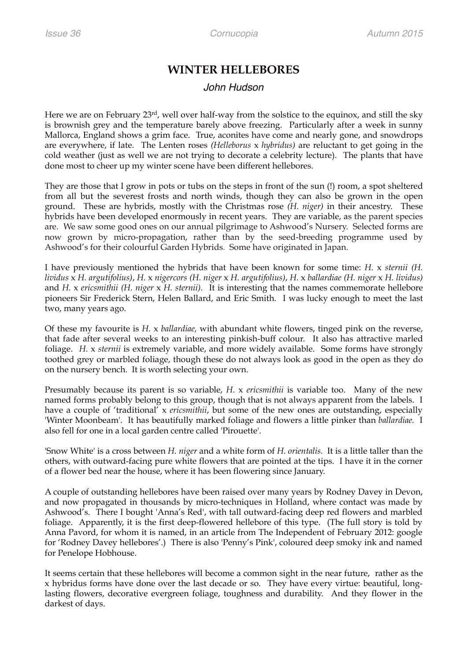## **WINTER HELLEBORES**

## *John Hudson*

Here we are on February 23<sup>rd</sup>, well over half-way from the solstice to the equinox, and still the sky is brownish grey and the temperature barely above freezing. Particularly after a week in sunny Mallorca, England shows a grim face. True, aconites have come and nearly gone, and snowdrops are everywhere, if late. The Lenten roses *(Helleborus* x *hybridus)* are reluctant to get going in the cold weather (just as well we are not trying to decorate a celebrity lecture). The plants that have done most to cheer up my winter scene have been different hellebores.

They are those that I grow in pots or tubs on the steps in front of the sun (!) room, a spot sheltered from all but the severest frosts and north winds, though they can also be grown in the open ground. These are hybrids, mostly with the Christmas rose *(H. niger)* in their ancestry. These hybrids have been developed enormously in recent years. They are variable, as the parent species are. We saw some good ones on our annual pilgrimage to Ashwood's Nursery. Selected forms are now grown by micro-propagation, rather than by the seed-breeding programme used by Ashwood's for their colourful Garden Hybrids. Some have originated in Japan.

I have previously mentioned the hybrids that have been known for some time: *H.* x *sternii (H. lividus* x *H. argutifolius)*, *H.* x *nigercors (H. niger* x *H. argutifolius)*, *H.* x *ballardiae (H. niger* x *H. lividus)*  and *H.* x *ericsmithii (H. niger* x *H. sternii).* It is interesting that the names commemorate hellebore pioneers Sir Frederick Stern, Helen Ballard, and Eric Smith. I was lucky enough to meet the last two, many years ago.

Of these my favourite is *H.* x *ballardiae,* with abundant white flowers, tinged pink on the reverse, that fade after several weeks to an interesting pinkish-buff colour. It also has attractive marled foliage. *H.* x *sternii* is extremely variable, and more widely available. Some forms have strongly toothed grey or marbled foliage, though these do not always look as good in the open as they do on the nursery bench. It is worth selecting your own.

Presumably because its parent is so variable, *H.* x *ericsmithii* is variable too. Many of the new named forms probably belong to this group, though that is not always apparent from the labels. I have a couple of 'traditional' x *ericsmithii*, but some of the new ones are outstanding, especially 'Winter Moonbeam'. It has beautifully marked foliage and flowers a little pinker than *ballardiae.* I also fell for one in a local garden centre called 'Pirouette'.

'Snow White' is a cross between *H. niger* and a white form of *H. orientalis.* It is a little taller than the others, with outward-facing pure white flowers that are pointed at the tips. I have it in the corner of a flower bed near the house, where it has been flowering since January.

A couple of outstanding hellebores have been raised over many years by Rodney Davey in Devon, and now propagated in thousands by micro-techniques in Holland, where contact was made by Ashwood's. There I bought 'Anna's Red', with tall outward-facing deep red flowers and marbled foliage. Apparently, it is the first deep-flowered hellebore of this type. (The full story is told by Anna Pavord, for whom it is named, in an article from The Independent of February 2012: google for 'Rodney Davey hellebores'.) There is also 'Penny's Pink', coloured deep smoky ink and named for Penelope Hobhouse.

It seems certain that these hellebores will become a common sight in the near future, rather as the x hybridus forms have done over the last decade or so. They have every virtue: beautiful, longlasting flowers, decorative evergreen foliage, toughness and durability. And they flower in the darkest of days.